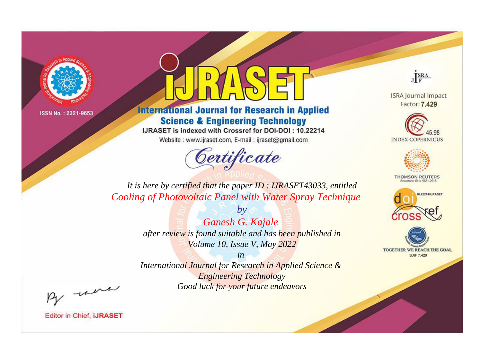

# **International Journal for Research in Applied Science & Engineering Technology**

IJRASET is indexed with Crossref for DOI-DOI: 10.22214

Website: www.ijraset.com, E-mail: ijraset@gmail.com



JERA

**ISRA Journal Impact** Factor: 7.429





**THOMSON REUTERS** 



TOGETHER WE REACH THE GOAL **SJIF 7.429** 

*It is here by certified that the paper ID : IJRASET43033, entitled Cooling of Photovoltaic Panel with Water Spray Technique*

> *by Ganesh G. Kajale after review is found suitable and has been published in Volume 10, Issue V, May 2022*

> > *in*

*International Journal for Research in Applied Science & Engineering Technology Good luck for your future endeavors*

By morn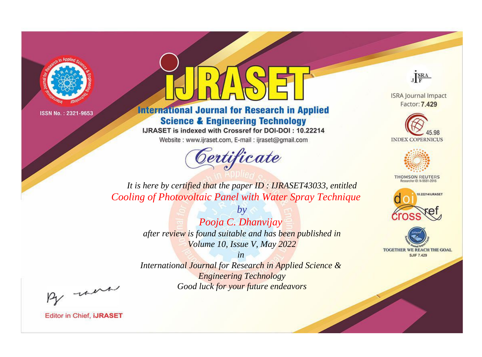

# **International Journal for Research in Applied Science & Engineering Technology**

IJRASET is indexed with Crossref for DOI-DOI: 10.22214

Website: www.ijraset.com, E-mail: ijraset@gmail.com



JERA

**ISRA Journal Impact** Factor: 7.429





**THOMSON REUTERS** 



TOGETHER WE REACH THE GOAL **SJIF 7.429** 

*It is here by certified that the paper ID : IJRASET43033, entitled Cooling of Photovoltaic Panel with Water Spray Technique*

> *by Pooja C. Dhanvijay after review is found suitable and has been published in Volume 10, Issue V, May 2022*

> > *in*

*International Journal for Research in Applied Science & Engineering Technology Good luck for your future endeavors*

By morn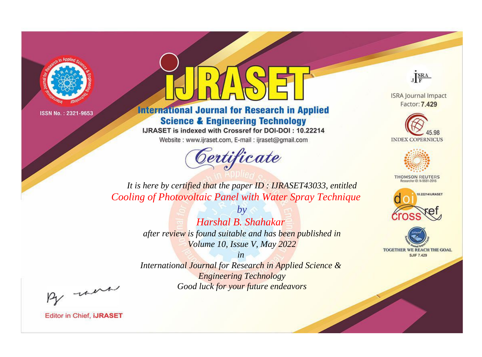

# **International Journal for Research in Applied Science & Engineering Technology**

IJRASET is indexed with Crossref for DOI-DOI: 10.22214

Website: www.ijraset.com, E-mail: ijraset@gmail.com

# Certificate



**ISRA Journal Impact** Factor: 7.429





**THOMSON REUTERS** 



TOGETHER WE REACH THE GOAL **SJIF 7.429** 

*It is here by certified that the paper ID : IJRASET43033, entitled Cooling of Photovoltaic Panel with Water Spray Technique*

> *Harshal B. Shahakar after review is found suitable and has been published in Volume 10, Issue V, May 2022*

*by*

*in International Journal for Research in Applied Science & Engineering Technology Good luck for your future endeavors*

By morn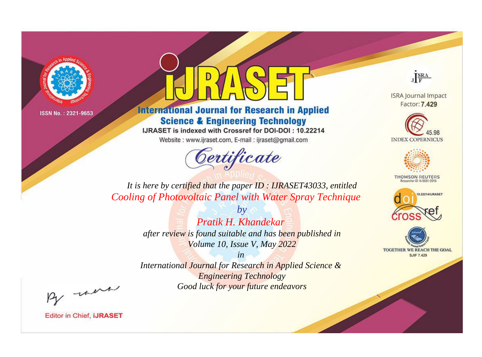

# **International Journal for Research in Applied Science & Engineering Technology**

IJRASET is indexed with Crossref for DOI-DOI: 10.22214

Website: www.ijraset.com, E-mail: ijraset@gmail.com



JERA

**ISRA Journal Impact** Factor: 7.429





**THOMSON REUTERS** 



TOGETHER WE REACH THE GOAL **SJIF 7.429** 

*It is here by certified that the paper ID : IJRASET43033, entitled Cooling of Photovoltaic Panel with Water Spray Technique*

> *by Pratik H. Khandekar after review is found suitable and has been published in Volume 10, Issue V, May 2022*

> > *in*

*International Journal for Research in Applied Science & Engineering Technology Good luck for your future endeavors*

By morn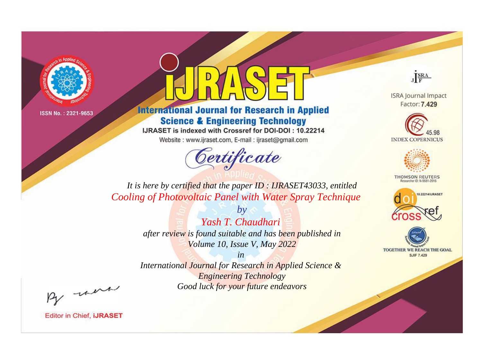

# **International Journal for Research in Applied Science & Engineering Technology**

IJRASET is indexed with Crossref for DOI-DOI: 10.22214

Website: www.ijraset.com, E-mail: ijraset@gmail.com



JERA

**ISRA Journal Impact** Factor: 7.429





**THOMSON REUTERS** 



TOGETHER WE REACH THE GOAL **SJIF 7.429** 

*It is here by certified that the paper ID : IJRASET43033, entitled Cooling of Photovoltaic Panel with Water Spray Technique*

> *by Yash T. Chaudhari after review is found suitable and has been published in Volume 10, Issue V, May 2022*

> > *in*

*International Journal for Research in Applied Science & Engineering Technology Good luck for your future endeavors*

By morn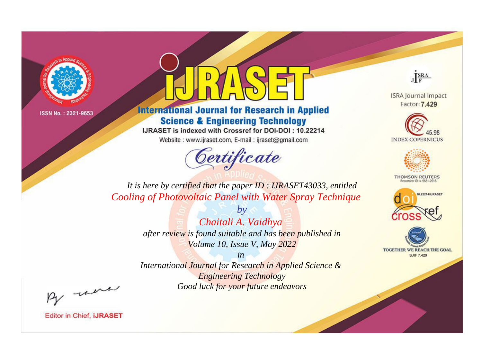

# **International Journal for Research in Applied Science & Engineering Technology**

IJRASET is indexed with Crossref for DOI-DOI: 10.22214

Website: www.ijraset.com, E-mail: ijraset@gmail.com



JERA

**ISRA Journal Impact** Factor: 7.429





**THOMSON REUTERS** 



TOGETHER WE REACH THE GOAL **SJIF 7.429** 

*It is here by certified that the paper ID : IJRASET43033, entitled Cooling of Photovoltaic Panel with Water Spray Technique*

> *by Chaitali A. Vaidhya after review is found suitable and has been published in Volume 10, Issue V, May 2022*

> > *in*

*International Journal for Research in Applied Science & Engineering Technology Good luck for your future endeavors*

By morn